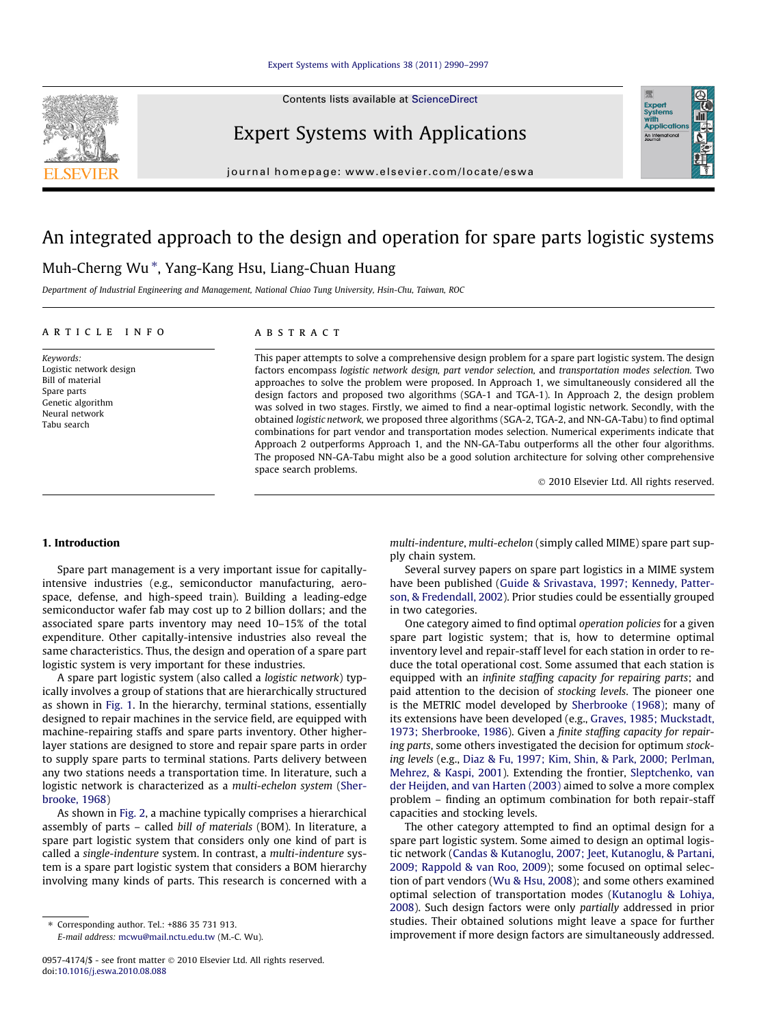Contents lists available at [ScienceDirect](http://www.sciencedirect.com/science/journal/09574174)



Expert Systems with Applications



journal homepage: [www.elsevier.com/locate/eswa](http://www.elsevier.com/locate/eswa)

# An integrated approach to the design and operation for spare parts logistic systems

## Muh-Cherng Wu\*, Yang-Kang Hsu, Liang-Chuan Huang

Department of Industrial Engineering and Management, National Chiao Tung University, Hsin-Chu, Taiwan, ROC

### article info

Keywords: Logistic network design Bill of material Spare parts Genetic algorithm Neural network Tabu search

## **ABSTRACT**

This paper attempts to solve a comprehensive design problem for a spare part logistic system. The design factors encompass logistic network design, part vendor selection, and transportation modes selection. Two approaches to solve the problem were proposed. In Approach 1, we simultaneously considered all the design factors and proposed two algorithms (SGA-1 and TGA-1). In Approach 2, the design problem was solved in two stages. Firstly, we aimed to find a near-optimal logistic network. Secondly, with the obtained logistic network, we proposed three algorithms (SGA-2, TGA-2, and NN-GA-Tabu) to find optimal combinations for part vendor and transportation modes selection. Numerical experiments indicate that Approach 2 outperforms Approach 1, and the NN-GA-Tabu outperforms all the other four algorithms. The proposed NN-GA-Tabu might also be a good solution architecture for solving other comprehensive space search problems.

- 2010 Elsevier Ltd. All rights reserved.

### 1. Introduction

Spare part management is a very important issue for capitallyintensive industries (e.g., semiconductor manufacturing, aerospace, defense, and high-speed train). Building a leading-edge semiconductor wafer fab may cost up to 2 billion dollars; and the associated spare parts inventory may need 10–15% of the total expenditure. Other capitally-intensive industries also reveal the same characteristics. Thus, the design and operation of a spare part logistic system is very important for these industries.

A spare part logistic system (also called a logistic network) typically involves a group of stations that are hierarchically structured as shown in [Fig. 1.](#page-1-0) In the hierarchy, terminal stations, essentially designed to repair machines in the service field, are equipped with machine-repairing staffs and spare parts inventory. Other higherlayer stations are designed to store and repair spare parts in order to supply spare parts to terminal stations. Parts delivery between any two stations needs a transportation time. In literature, such a logistic network is characterized as a multi-echelon system ([Sher](#page--1-0)[brooke, 1968](#page--1-0))

As shown in [Fig. 2](#page-1-0), a machine typically comprises a hierarchical assembly of parts – called bill of materials (BOM). In literature, a spare part logistic system that considers only one kind of part is called a single-indenture system. In contrast, a multi-indenture system is a spare part logistic system that considers a BOM hierarchy involving many kinds of parts. This research is concerned with a

⇑ Corresponding author. Tel.: +886 35 731 913. E-mail address: [mcwu@mail.nctu.edu.tw](mailto:mcwu@mail.nctu.edu.tw) (M.-C. Wu). multi-indenture, multi-echelon (simply called MIME) spare part supply chain system.

Several survey papers on spare part logistics in a MIME system have been published ([Guide & Srivastava, 1997; Kennedy, Patter](#page--1-0)[son, & Fredendall, 2002](#page--1-0)). Prior studies could be essentially grouped in two categories.

One category aimed to find optimal operation policies for a given spare part logistic system; that is, how to determine optimal inventory level and repair-staff level for each station in order to reduce the total operational cost. Some assumed that each station is equipped with an infinite staffing capacity for repairing parts; and paid attention to the decision of stocking levels. The pioneer one is the METRIC model developed by [Sherbrooke \(1968\)](#page--1-0); many of its extensions have been developed (e.g., [Graves, 1985; Muckstadt,](#page--1-0) [1973; Sherbrooke, 1986\)](#page--1-0). Given a finite staffing capacity for repairing parts, some others investigated the decision for optimum stocking levels (e.g., [Diaz & Fu, 1997; Kim, Shin, & Park, 2000; Perlman,](#page--1-0) [Mehrez, & Kaspi, 2001\)](#page--1-0). Extending the frontier, [Sleptchenko, van](#page--1-0) [der Heijden, and van Harten \(2003\)](#page--1-0) aimed to solve a more complex problem – finding an optimum combination for both repair-staff capacities and stocking levels.

The other category attempted to find an optimal design for a spare part logistic system. Some aimed to design an optimal logistic network [\(Candas & Kutanoglu, 2007; Jeet, Kutanoglu, & Partani,](#page--1-0) [2009; Rappold & van Roo, 2009\)](#page--1-0); some focused on optimal selection of part vendors ([Wu & Hsu, 2008\)](#page--1-0); and some others examined optimal selection of transportation modes ([Kutanoglu & Lohiya,](#page--1-0) [2008\)](#page--1-0). Such design factors were only partially addressed in prior studies. Their obtained solutions might leave a space for further improvement if more design factors are simultaneously addressed.

<sup>0957-4174/\$ -</sup> see front matter © 2010 Elsevier Ltd. All rights reserved. doi:[10.1016/j.eswa.2010.08.088](http://dx.doi.org/10.1016/j.eswa.2010.08.088)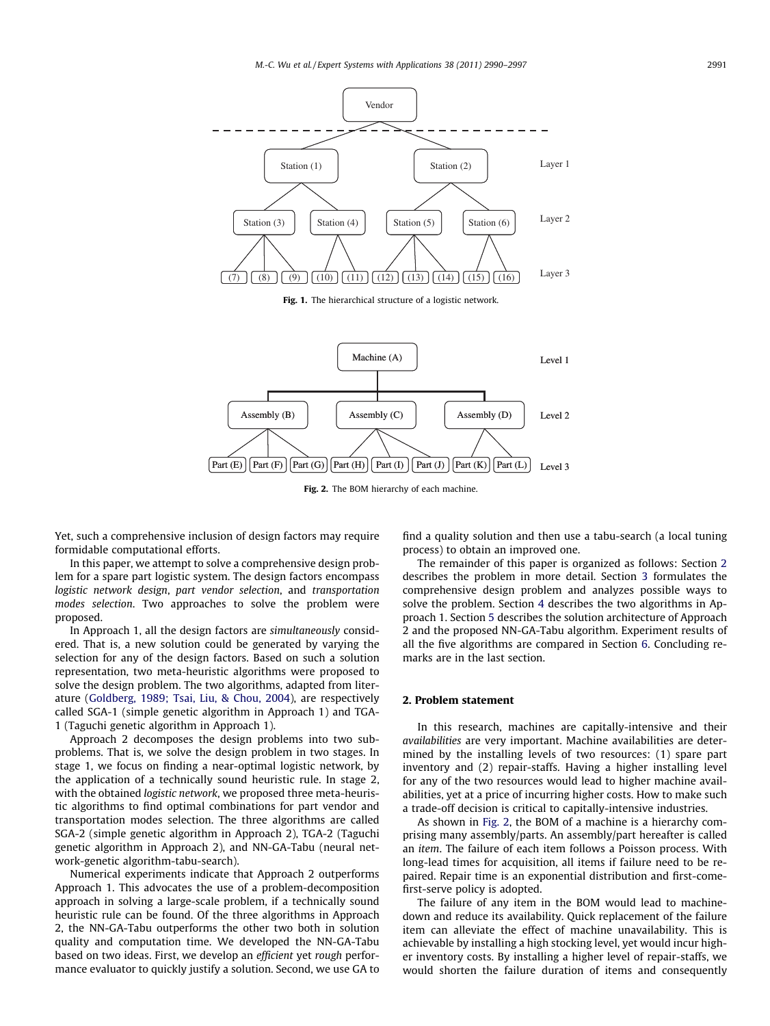<span id="page-1-0"></span>



Fig. 2. The BOM hierarchy of each machine.

Yet, such a comprehensive inclusion of design factors may require formidable computational efforts.

In this paper, we attempt to solve a comprehensive design problem for a spare part logistic system. The design factors encompass logistic network design, part vendor selection, and transportation modes selection. Two approaches to solve the problem were proposed.

In Approach 1, all the design factors are simultaneously considered. That is, a new solution could be generated by varying the selection for any of the design factors. Based on such a solution representation, two meta-heuristic algorithms were proposed to solve the design problem. The two algorithms, adapted from literature ([Goldberg, 1989; Tsai, Liu, & Chou, 2004](#page--1-0)), are respectively called SGA-1 (simple genetic algorithm in Approach 1) and TGA-1 (Taguchi genetic algorithm in Approach 1).

Approach 2 decomposes the design problems into two subproblems. That is, we solve the design problem in two stages. In stage 1, we focus on finding a near-optimal logistic network, by the application of a technically sound heuristic rule. In stage 2, with the obtained logistic network, we proposed three meta-heuristic algorithms to find optimal combinations for part vendor and transportation modes selection. The three algorithms are called SGA-2 (simple genetic algorithm in Approach 2), TGA-2 (Taguchi genetic algorithm in Approach 2), and NN-GA-Tabu (neural network-genetic algorithm-tabu-search).

Numerical experiments indicate that Approach 2 outperforms Approach 1. This advocates the use of a problem-decomposition approach in solving a large-scale problem, if a technically sound heuristic rule can be found. Of the three algorithms in Approach 2, the NN-GA-Tabu outperforms the other two both in solution quality and computation time. We developed the NN-GA-Tabu based on two ideas. First, we develop an efficient yet rough performance evaluator to quickly justify a solution. Second, we use GA to find a quality solution and then use a tabu-search (a local tuning process) to obtain an improved one.

The remainder of this paper is organized as follows: Section 2 describes the problem in more detail. Section [3](#page--1-0) formulates the comprehensive design problem and analyzes possible ways to solve the problem. Section [4](#page--1-0) describes the two algorithms in Approach 1. Section [5](#page--1-0) describes the solution architecture of Approach 2 and the proposed NN-GA-Tabu algorithm. Experiment results of all the five algorithms are compared in Section [6](#page--1-0). Concluding remarks are in the last section.

#### 2. Problem statement

In this research, machines are capitally-intensive and their availabilities are very important. Machine availabilities are determined by the installing levels of two resources: (1) spare part inventory and (2) repair-staffs. Having a higher installing level for any of the two resources would lead to higher machine availabilities, yet at a price of incurring higher costs. How to make such a trade-off decision is critical to capitally-intensive industries.

As shown in Fig. 2, the BOM of a machine is a hierarchy comprising many assembly/parts. An assembly/part hereafter is called an item. The failure of each item follows a Poisson process. With long-lead times for acquisition, all items if failure need to be repaired. Repair time is an exponential distribution and first-comefirst-serve policy is adopted.

The failure of any item in the BOM would lead to machinedown and reduce its availability. Quick replacement of the failure item can alleviate the effect of machine unavailability. This is achievable by installing a high stocking level, yet would incur higher inventory costs. By installing a higher level of repair-staffs, we would shorten the failure duration of items and consequently